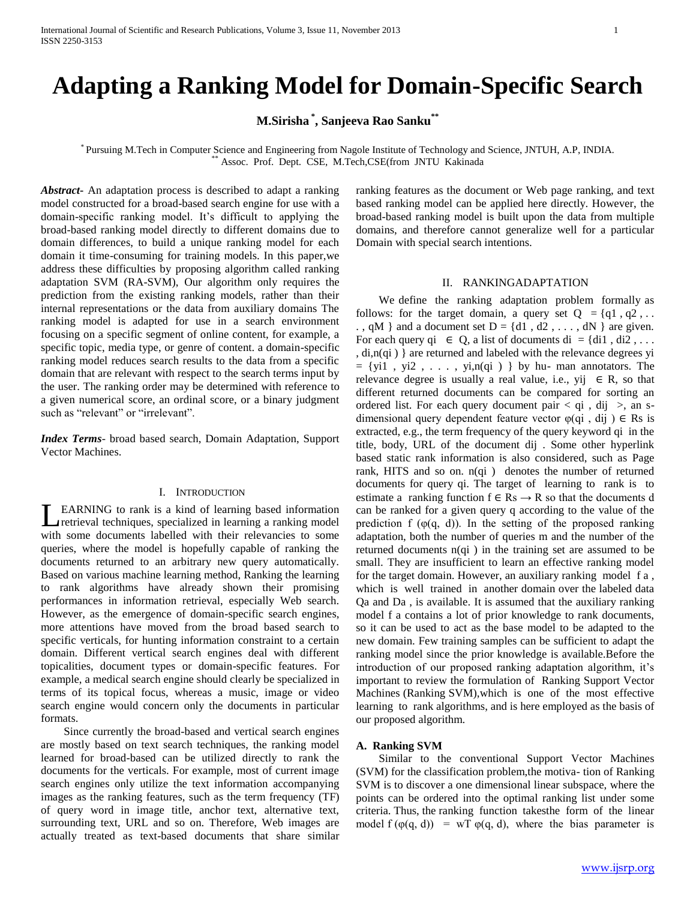# **Adapting a Ranking Model for Domain-Specific Search**

**M.Sirisha \* , Sanjeeva Rao Sanku\*\***

\* Pursuing M.Tech in Computer Science and Engineering from Nagole Institute of Technology and Science, JNTUH, A.P, INDIA. Assoc. Prof. Dept. CSE, M.Tech,CSE(from JNTU Kakinada

*Abstract***-** An adaptation process is described to adapt a ranking model constructed for a broad-based search engine for use with a domain-specific ranking model. It's difficult to applying the broad-based ranking model directly to different domains due to domain differences, to build a unique ranking model for each domain it time-consuming for training models. In this paper,we address these difficulties by proposing algorithm called ranking adaptation SVM (RA-SVM), Our algorithm only requires the prediction from the existing ranking models, rather than their internal representations or the data from auxiliary domains The ranking model is adapted for use in a search environment focusing on a specific segment of online content, for example, a specific topic, media type, or genre of content. a domain-specific ranking model reduces search results to the data from a specific domain that are relevant with respect to the search terms input by the user. The ranking order may be determined with reference to a given numerical score, an ordinal score, or a binary judgment such as "relevant" or "irrelevant".

*Index Terms*- broad based search, Domain Adaptation, Support Vector Machines.

# I. INTRODUCTION

EARNING to rank is a kind of learning based information retrieval techniques, specialized in learning a ranking model with some documents labelled with their relevancies to some queries, where the model is hopefully capable of ranking the documents returned to an arbitrary new query automatically. Based on various machine learning method, Ranking the learning to rank algorithms have already shown their promising performances in information retrieval, especially Web search. However, as the emergence of domain-specific search engines, more attentions have moved from the broad based search to specific verticals, for hunting information constraint to a certain domain. Different vertical search engines deal with different topicalities, document types or domain-specific features. For example, a medical search engine should clearly be specialized in terms of its topical focus, whereas a music, image or video search engine would concern only the documents in particular formats. L

 Since currently the broad-based and vertical search engines are mostly based on text search techniques, the ranking model learned for broad-based can be utilized directly to rank the documents for the verticals. For example, most of current image search engines only utilize the text information accompanying images as the ranking features, such as the term frequency (TF) of query word in image title, anchor text, alternative text, surrounding text, URL and so on. Therefore, Web images are actually treated as text-based documents that share similar

ranking features as the document or Web page ranking, and text based ranking model can be applied here directly. However, the broad-based ranking model is built upon the data from multiple domains, and therefore cannot generalize well for a particular Domain with special search intentions.

# II. RANKINGADAPTATION

 We define the ranking adaptation problem formally as follows: for the target domain, a query set  $Q = \{q1, q2, \dots\}$ ., qM } and a document set  $D = \{d1, d2, \ldots, dN\}$  are given. For each query qi  $\in$  Q, a list of documents di = {di1, di2, ... , di,n(qi ) } are returned and labeled with the relevance degrees yi  $= \{$ yi1, yi2, ..., yi,n(qi) } by hu- man annotators. The relevance degree is usually a real value, i.e., yij  $\in$  R, so that different returned documents can be compared for sorting an ordered list. For each query document pair  $\langle q_i, dq_j \rangle$ , an sdimensional query dependent feature vector  $\varphi$ (qi, dij)  $\in$  Rs is extracted, e.g., the term frequency of the query keyword qi in the title, body, URL of the document dij . Some other hyperlink based static rank information is also considered, such as Page rank, HITS and so on. n(qi ) denotes the number of returned documents for query qi. The target of learning to rank is to estimate a ranking function  $f \in \text{Rs} \rightarrow \text{R}$  so that the documents d can be ranked for a given query q according to the value of the prediction f  $(\varphi(q, d))$ . In the setting of the proposed ranking adaptation, both the number of queries m and the number of the returned documents n(qi ) in the training set are assumed to be small. They are insufficient to learn an effective ranking model for the target domain. However, an auxiliary ranking model f a , which is well trained in another domain over the labeled data Qa and Da , is available. It is assumed that the auxiliary ranking model f a contains a lot of prior knowledge to rank documents, so it can be used to act as the base model to be adapted to the new domain. Few training samples can be sufficient to adapt the ranking model since the prior knowledge is available.Before the introduction of our proposed ranking adaptation algorithm, it's important to review the formulation of Ranking Support Vector Machines (Ranking SVM),which is one of the most effective learning to rank algorithms, and is here employed as the basis of our proposed algorithm.

#### **A. Ranking SVM**

 Similar to the conventional Support Vector Machines (SVM) for the classification problem,the motiva- tion of Ranking SVM is to discover a one dimensional linear subspace, where the points can be ordered into the optimal ranking list under some criteria. Thus, the ranking function takesthe form of the linear model  $f(\varphi(q, d)) = wT \varphi(q, d)$ , where the bias parameter is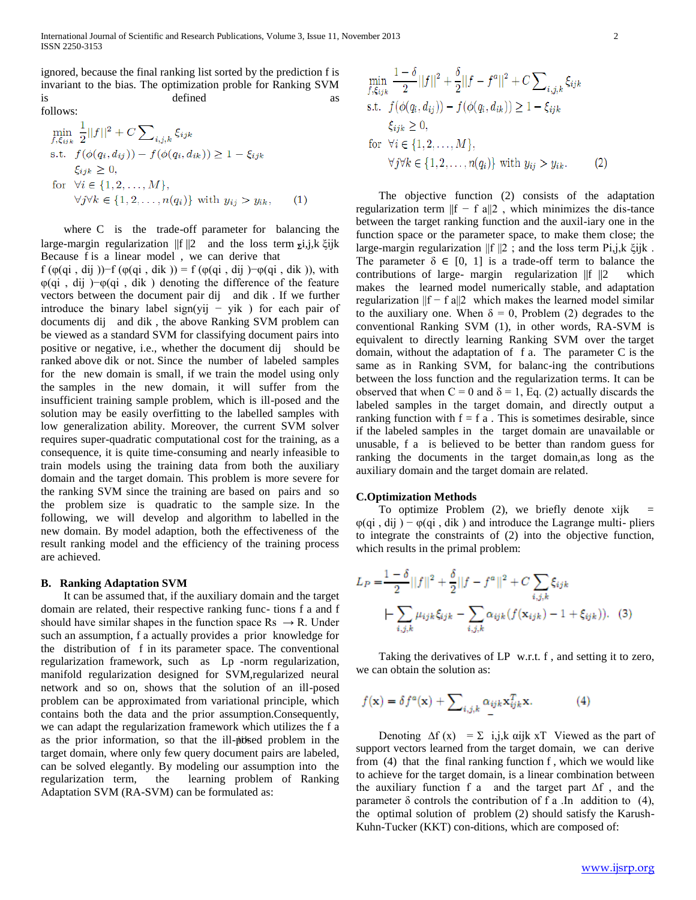ignored, because the final ranking list sorted by the prediction f is invariant to the bias. The optimization proble for Ranking SVM is defined

follows:

$$
\min_{f, \xi_{ijk}} \frac{1}{2} ||f||^2 + C \sum_{i,j,k} \xi_{ijk}
$$
\ns.t.  $f(\phi(q_i, d_{ij})) - f(\phi(q_i, d_{ik})) \ge 1 - \xi_{ijk}$   
\n $\xi_{ijk} \ge 0$ ,  
\nfor  $\forall i \in \{1, 2, ..., M\}$ ,  
\n $\forall j \forall k \in \{1, 2, ..., n(q_i)\}$  with  $y_{ij} > y_{ik}$ , (1)

 where C is the trade-off parameter for balancing the large-margin regularization  $||f||2$  and the loss term  $\overline{z}$ *i*,j,k  $\xi$ *i*jk Because f is a linear model , we can derive that

f (φ(qi, dij))−f (φ(qi, dik)) = f (φ(qi, dij)−φ(qi, dik)), with φ(qi , dij )−φ(qi , dik ) denoting the difference of the feature vectors between the document pair dij and dik . If we further introduce the binary label sign(yij – yik) for each pair of documents dij and dik , the above Ranking SVM problem can be viewed as a standard SVM for classifying document pairs into positive or negative, i.e., whether the document dij should be ranked above dik or not. Since the number of labeled samples for the new domain is small, if we train the model using only the samples in the new domain, it will suffer from the insufficient training sample problem, which is ill-posed and the solution may be easily overfitting to the labelled samples with low generalization ability. Moreover, the current SVM solver requires super-quadratic computational cost for the training, as a consequence, it is quite time-consuming and nearly infeasible to train models using the training data from both the auxiliary domain and the target domain. This problem is more severe for the ranking SVM since the training are based on pairs and so the problem size is quadratic to the sample size. In the following, we will develop and algorithm to labelled in the new domain. By model adaption, both the effectiveness of the result ranking model and the efficiency of the training process are achieved.

## **B. Ranking Adaptation SVM**

as the prior information, so that the ill-posed problem in the It can be assumed that, if the auxiliary domain and the target domain are related, their respective ranking func- tions f a and f should have similar shapes in the function space  $Rs \rightarrow R$ . Under such an assumption, f a actually provides a prior knowledge for the distribution of f in its parameter space. The conventional regularization framework, such as Lp -norm regularization, manifold regularization designed for SVM,regularized neural network and so on, shows that the solution of an ill-posed problem can be approximated from variational principle, which contains both the data and the prior assumption.Consequently, we can adapt the regularization framework which utilizes the f a target domain, where only few query document pairs are labeled, can be solved elegantly. By modeling our assumption into the regularization term, the learning problem of Ranking Adaptation SVM (RA-SVM) can be formulated as:

$$
\min_{f, \xi_{ijk}} \frac{1 - \delta}{2} ||f||^2 + \frac{\delta}{2} ||f - f^a||^2 + C \sum_{i,j,k} \xi_{ijk}
$$
\ns.t.

\n
$$
f(\phi(q_i, d_{ij})) - f(\phi(q_i, d_{ik})) \geq 1 - \xi_{ijk}
$$
\n
$$
\xi_{ijk} \geq 0,
$$
\nfor

\n
$$
\forall i \in \{1, 2, ..., M\},
$$
\n
$$
\forall j \forall k \in \{1, 2, ..., n(q_i)\} \text{ with } y_{ij} > y_{ik}.
$$
\n(2)

 The objective function (2) consists of the adaptation regularization term  $||f - f|| = ||f||$ , which minimizes the dis-tance between the target ranking function and the auxil-iary one in the function space or the parameter space, to make them close; the large-margin regularization ||f ||2 ; and the loss term Pi,j,k ξijk . The parameter  $\delta \in [0, 1]$  is a trade-off term to balance the contributions of large- margin regularization ||f ||2 which makes the learned model numerically stable, and adaptation regularization  $||f - f a||2$  which makes the learned model similar to the auxiliary one. When  $\delta = 0$ , Problem (2) degrades to the conventional Ranking SVM (1), in other words, RA-SVM is equivalent to directly learning Ranking SVM over the target domain, without the adaptation of f a. The parameter C is the same as in Ranking SVM, for balanc-ing the contributions between the loss function and the regularization terms. It can be observed that when  $C = 0$  and  $\delta = 1$ , Eq. (2) actually discards the labeled samples in the target domain, and directly output a ranking function with  $f = f a$ . This is sometimes desirable, since if the labeled samples in the target domain are unavailable or unusable, f a is believed to be better than random guess for ranking the documents in the target domain,as long as the auxiliary domain and the target domain are related.

## **C.Optimization Methods**

To optimize Problem  $(2)$ , we briefly denote xijk  $\varphi$ (qi, dij) –  $\varphi$ (qi, dik) and introduce the Lagrange multi-pliers to integrate the constraints of (2) into the objective function, which results in the primal problem:

$$
L_P = \frac{1 - \delta}{2} ||f||^2 + \frac{\delta}{2} ||f - f^a||^2 + C \sum_{i,j,k} \xi_{ijk}
$$

$$
\left| - \sum_{i,j,k} \mu_{ijk} \xi_{ijk} - \sum_{i,j,k} \alpha_{ijk} (f(\mathbf{x}_{ijk}) - 1 + \xi_{ijk})).
$$
 (3)

 Taking the derivatives of LP w.r.t. f , and setting it to zero, we can obtain the solution as:

$$
f(\mathbf{x}) = \delta f^a(\mathbf{x}) + \sum_{i,j,k} \alpha_{ijk} \mathbf{x}_{ijk}^T \mathbf{x}.
$$
 (4)

Denoting  $\Delta f(x) = \Sigma$  i,j,k αijk xT Viewed as the part of support vectors learned from the target domain, we can derive from (4) that the final ranking function f , which we would like to achieve for the target domain, is a linear combination between the auxiliary function f a and the target part ∆f , and the parameter  $\delta$  controls the contribution of f a .In addition to (4), the optimal solution of problem (2) should satisfy the Karush-Kuhn-Tucker (KKT) con-ditions, which are composed of: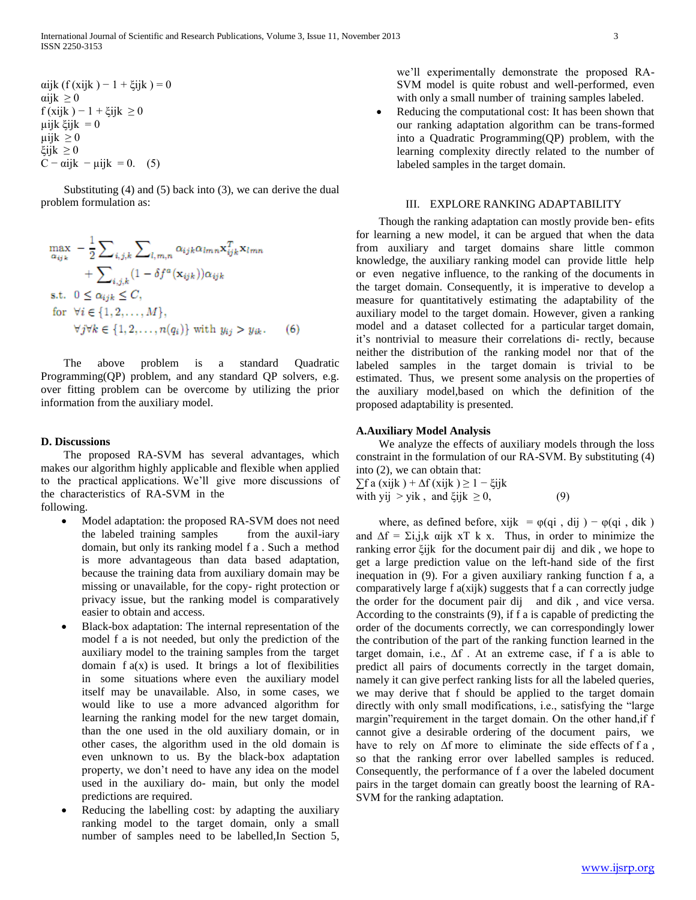Substituting (4) and (5) back into (3), we can derive the dual problem formulation as:

$$
\max_{\alpha_{ijk}} -\frac{1}{2} \sum_{i,j,k} \sum_{l,m,n} \alpha_{ijk} \alpha_{lmn} \mathbf{x}_{ijk}^T \mathbf{x}_{lmn} + \sum_{i,j,k} (1 - \delta f^a(\mathbf{x}_{ijk})) \alpha_{ijk}
$$
\n
$$
\text{s.t. } 0 \le \alpha_{ijk} \le C,
$$
\n
$$
\text{for } \forall i \in \{1, 2, ..., M\},
$$
\n
$$
\forall j \forall k \in \{1, 2, ..., n(q_i)\} \text{ with } y_{ij} > y_{ik}.
$$
\n(6)

 The above problem is a standard Quadratic Programming(QP) problem, and any standard QP solvers, e.g. over fitting problem can be overcome by utilizing the prior information from the auxiliary model.

## **D. Discussions**

 The proposed RA-SVM has several advantages, which makes our algorithm highly applicable and flexible when applied to the practical applications. We'll give more discussions of the characteristics of RA-SVM in the following.

- Model adaptation: the proposed RA-SVM does not need the labeled training samples from the auxil-iary domain, but only its ranking model f a . Such a method is more advantageous than data based adaptation, because the training data from auxiliary domain may be missing or unavailable, for the copy- right protection or privacy issue, but the ranking model is comparatively easier to obtain and access.
- Black-box adaptation: The internal representation of the model f a is not needed, but only the prediction of the auxiliary model to the training samples from the target domain  $f(x)$  is used. It brings a lot of flexibilities in some situations where even the auxiliary model itself may be unavailable. Also, in some cases, we would like to use a more advanced algorithm for learning the ranking model for the new target domain, than the one used in the old auxiliary domain, or in other cases, the algorithm used in the old domain is even unknown to us. By the black-box adaptation property, we don't need to have any idea on the model used in the auxiliary do- main, but only the model predictions are required.
- Reducing the labelling cost: by adapting the auxiliary ranking model to the target domain, only a small number of samples need to be labelled,In Section 5,

we'll experimentally demonstrate the proposed RA-SVM model is quite robust and well-performed, even with only a small number of training samples labeled.

 Reducing the computational cost: It has been shown that our ranking adaptation algorithm can be trans-formed into a Quadratic Programming(QP) problem, with the learning complexity directly related to the number of labeled samples in the target domain.

### III. EXPLORE RANKING ADAPTABILITY

 Though the ranking adaptation can mostly provide ben- efits for learning a new model, it can be argued that when the data from auxiliary and target domains share little common knowledge, the auxiliary ranking model can provide little help or even negative influence, to the ranking of the documents in the target domain. Consequently, it is imperative to develop a measure for quantitatively estimating the adaptability of the auxiliary model to the target domain. However, given a ranking model and a dataset collected for a particular target domain, it's nontrivial to measure their correlations di- rectly, because neither the distribution of the ranking model nor that of the labeled samples in the target domain is trivial to be estimated. Thus, we present some analysis on the properties of the auxiliary model,based on which the definition of the proposed adaptability is presented.

## **A.Auxiliary Model Analysis**

 We analyze the effects of auxiliary models through the loss constraint in the formulation of our RA-SVM. By substituting (4) into (2), we can obtain that:

 $\sum$ f a (xijk ) +  $\Delta$ f (xijk )  $\geq$  1 –  $\xi$ ijk with yij > yik, and ξijk  $\geq 0$ , (9)

where, as defined before, xijk =  $\varphi$ (qi, dij) –  $\varphi$ (qi, dik) and  $\Delta f = \Sigma i, j, k$  αijk xT k x. Thus, in order to minimize the ranking error ξijk for the document pair dij and dik , we hope to get a large prediction value on the left-hand side of the first inequation in (9). For a given auxiliary ranking function f a, a comparatively large f a(xijk) suggests that f a can correctly judge the order for the document pair dij and dik , and vice versa. According to the constraints (9), if f a is capable of predicting the order of the documents correctly, we can correspondingly lower the contribution of the part of the ranking function learned in the target domain, i.e.,  $\Delta f$ . At an extreme case, if f a is able to predict all pairs of documents correctly in the target domain, namely it can give perfect ranking lists for all the labeled queries, we may derive that f should be applied to the target domain directly with only small modifications, i.e., satisfying the "large margin"requirement in the target domain. On the other hand,if f cannot give a desirable ordering of the document pairs, we have to rely on ∆f more to eliminate the side effects of f a , so that the ranking error over labelled samples is reduced. Consequently, the performance of f a over the labeled document pairs in the target domain can greatly boost the learning of RA-SVM for the ranking adaptation.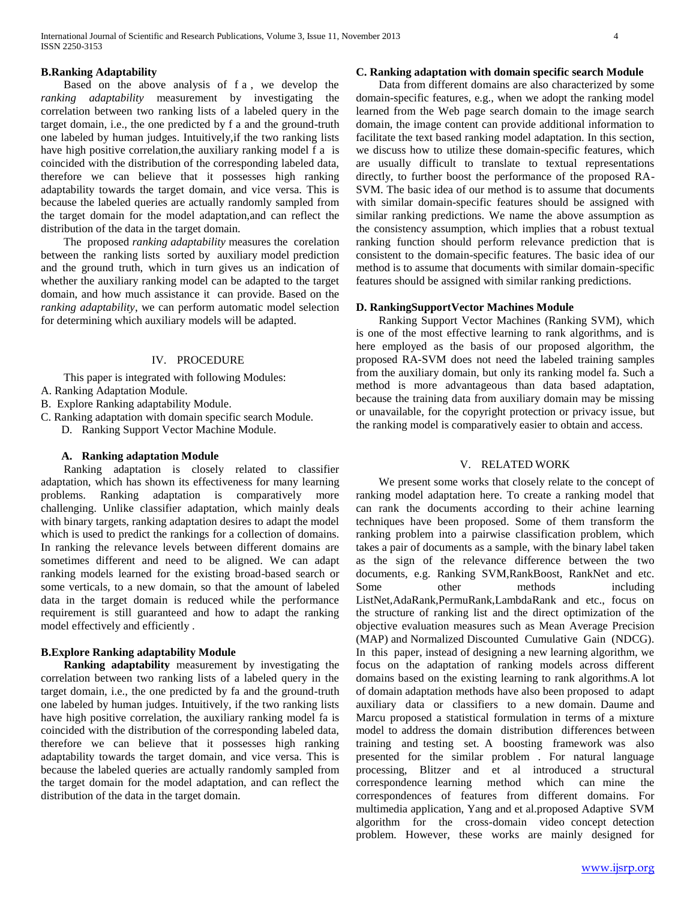# **B.Ranking Adaptability**

 Based on the above analysis of f a , we develop the *ranking adaptability* measurement by investigating the correlation between two ranking lists of a labeled query in the target domain, i.e., the one predicted by f a and the ground-truth one labeled by human judges. Intuitively,if the two ranking lists have high positive correlation,the auxiliary ranking model f a is coincided with the distribution of the corresponding labeled data, therefore we can believe that it possesses high ranking adaptability towards the target domain, and vice versa. This is because the labeled queries are actually randomly sampled from the target domain for the model adaptation,and can reflect the distribution of the data in the target domain.

 The proposed *ranking adaptability* measures the corelation between the ranking lists sorted by auxiliary model prediction and the ground truth, which in turn gives us an indication of whether the auxiliary ranking model can be adapted to the target domain, and how much assistance it can provide. Based on the *ranking adaptability*, we can perform automatic model selection for determining which auxiliary models will be adapted.

#### IV. PROCEDURE

This paper is integrated with following Modules:

- A. Ranking Adaptation Module.
- B. Explore Ranking adaptability Module.

C. Ranking adaptation with domain specific search Module.

D. Ranking Support Vector Machine Module.

# **A. Ranking adaptation Module**

 Ranking adaptation is closely related to classifier adaptation, which has shown its effectiveness for many learning problems. Ranking adaptation is comparatively more challenging. Unlike classifier adaptation, which mainly deals with binary targets, ranking adaptation desires to adapt the model which is used to predict the rankings for a collection of domains. In ranking the relevance levels between different domains are sometimes different and need to be aligned. We can adapt ranking models learned for the existing broad-based search or some verticals, to a new domain, so that the amount of labeled data in the target domain is reduced while the performance requirement is still guaranteed and how to adapt the ranking model effectively and efficiently .

# **B.Explore Ranking adaptability Module**

 **Ranking adaptability** measurement by investigating the correlation between two ranking lists of a labeled query in the target domain, i.e., the one predicted by fa and the ground-truth one labeled by human judges. Intuitively, if the two ranking lists have high positive correlation, the auxiliary ranking model fa is coincided with the distribution of the corresponding labeled data, therefore we can believe that it possesses high ranking adaptability towards the target domain, and vice versa. This is because the labeled queries are actually randomly sampled from the target domain for the model adaptation, and can reflect the distribution of the data in the target domain.

# **C. Ranking adaptation with domain specific search Module**

 Data from different domains are also characterized by some domain-specific features, e.g., when we adopt the ranking model learned from the Web page search domain to the image search domain, the image content can provide additional information to facilitate the text based ranking model adaptation. In this section, we discuss how to utilize these domain-specific features, which are usually difficult to translate to textual representations directly, to further boost the performance of the proposed RA-SVM. The basic idea of our method is to assume that documents with similar domain-specific features should be assigned with similar ranking predictions. We name the above assumption as the consistency assumption, which implies that a robust textual ranking function should perform relevance prediction that is consistent to the domain-specific features. The basic idea of our method is to assume that documents with similar domain-specific features should be assigned with similar ranking predictions.

#### **D. RankingSupportVector Machines Module**

 Ranking Support Vector Machines (Ranking SVM), which is one of the most effective learning to rank algorithms, and is here employed as the basis of our proposed algorithm, the proposed RA-SVM does not need the labeled training samples from the auxiliary domain, but only its ranking model fa. Such a method is more advantageous than data based adaptation, because the training data from auxiliary domain may be missing or unavailable, for the copyright protection or privacy issue, but the ranking model is comparatively easier to obtain and access.

#### V. RELATED WORK

 We present some works that closely relate to the concept of ranking model adaptation here. To create a ranking model that can rank the documents according to their achine learning techniques have been proposed. Some of them transform the ranking problem into a pairwise classification problem, which takes a pair of documents as a sample, with the binary label taken as the sign of the relevance difference between the two documents, e.g. Ranking SVM,RankBoost, RankNet and etc. Some other methods including ListNet,AdaRank,PermuRank,LambdaRank and etc., focus on the structure of ranking list and the direct optimization of the objective evaluation measures such as Mean Average Precision (MAP) and Normalized Discounted Cumulative Gain (NDCG). In this paper, instead of designing a new learning algorithm, we focus on the adaptation of ranking models across different domains based on the existing learning to rank algorithms.A lot of domain adaptation methods have also been proposed to adapt auxiliary data or classifiers to a new domain. Daume and Marcu proposed a statistical formulation in terms of a mixture model to address the domain distribution differences between training and testing set. A boosting framework was also presented for the similar problem . For natural language processing, Blitzer and et al introduced a structural correspondence learning method which can mine the correspondences of features from different domains. For multimedia application, Yang and et al.proposed Adaptive SVM algorithm for the cross-domain video concept detection problem. However, these works are mainly designed for